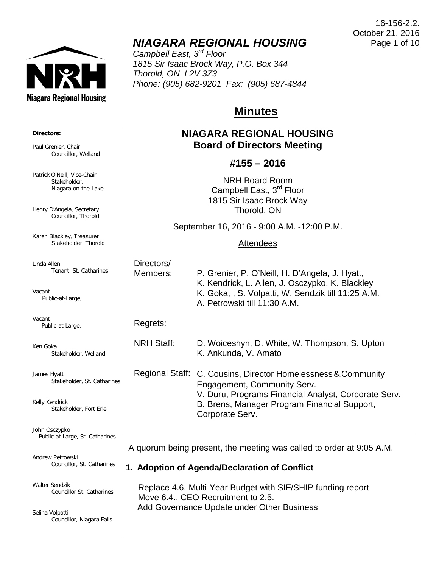

# *NIAGARA REGIONAL HOUSING*

*Campbell East, 3rd Floor 1815 Sir Isaac Brock Way, P.O. Box 344 Thorold, ON L2V 3Z3 Phone: (905) 682-9201 Fax: (905) 687-4844*

# **Minutes**

# **NIAGARA REGIONAL HOUSING Board of Directors Meeting**

## **#155 – 2016**

NRH Board Room Campbell East, 3rd Floor 1815 Sir Isaac Brock Way Thorold, ON

September 16, 2016 - 9:00 A.M. -12:00 P.M.

#### Attendees

| Directors/ |                                                    |
|------------|----------------------------------------------------|
| Members:   | P. Grenier, P. O'Neill, H. D'Angela, J. Hyatt,     |
|            | K. Kendrick, L. Allen, J. Osczypko, K. Blackley    |
|            | K. Goka, , S. Volpatti, W. Sendzik till 11:25 A.M. |
|            | A. Petrowski till 11:30 A.M.                       |

#### Regrets:

 $\overline{\phantom{a}}$ 

NRH Staff: D. Woiceshyn, D. White, W. Thompson, S. Upton

Regional Staff: C. Cousins, Director Homelessness&Community Engagement, Community Serv. V. Duru, Programs Financial Analyst, Corporate Serv. B. Brens, Manager Program Financial Support, Corporate Serv.

K. Ankunda, V. Amato

A quorum being present, the meeting was called to order at 9:05 A.M.

**1. Adoption of Agenda/Declaration of Conflict**

 Replace 4.6. Multi-Year Budget with SIF/SHIP funding report Move 6.4., CEO Recruitment to 2.5. Add Governance Update under Other Business



Paul Grenier, Chair Councillor, Welland

Patrick O'Neill, Vice-Chair Stakeholder, Niagara-on-the-Lake

Henry D'Angela, Secretary Councillor, Thorold

Karen Blackley, Treasurer Stakeholder, Thorold

Linda Allen Tenant, St. Catharines

Vacant Public-at-Large,

Vacant Public-at-Large,

Ken Goka Stakeholder, Welland

James Hyatt Stakeholder, St. Catharines

Kelly Kendrick Stakeholder, Fort Erie

John Osczypko Public-at-Large, St. Catharines

Andrew Petrowski Councillor, St. Catharines

Walter Sendzik Councillor St. Catharines

Selina Volpatti Councillor, Niagara Falls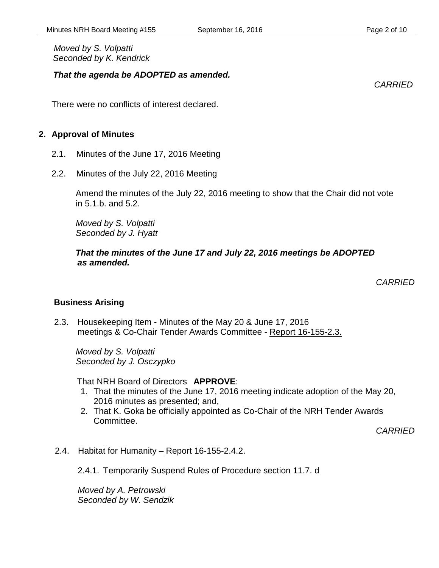*Moved by S. Volpatti Seconded by K. Kendrick*

#### *That the agenda be ADOPTED as amended.*

There were no conflicts of interest declared.

#### **2. Approval of Minutes**

- 2.1. Minutes of the June 17, 2016 Meeting
- 2.2. Minutes of the July 22, 2016 Meeting

Amend the minutes of the July 22, 2016 meeting to show that the Chair did not vote in 5.1.b. and 5.2.

*Moved by S. Volpatti Seconded by J. Hyatt*

 *That the minutes of the June 17 and July 22, 2016 meetings be ADOPTED as amended.* 

*CARRIED*

#### **Business Arising**

2.3. Housekeeping Item - Minutes of the May 20 & June 17, 2016 meetings & Co-Chair Tender Awards Committee - Report 16-155-2.3.

*Moved by S. Volpatti Seconded by J. Osczypko*

That NRH Board of Directors **APPROVE**:

- 1. That the minutes of the June 17, 2016 meeting indicate adoption of the May 20, 2016 minutes as presented; and,
- 2. That K. Goka be officially appointed as Co-Chair of the NRH Tender Awards Committee.

*CARRIED*

2.4. Habitat for Humanity – Report 16-155-2.4.2.

2.4.1. Temporarily Suspend Rules of Procedure section 11.7. d

*Moved by A. Petrowski Seconded by W. Sendzik* *CARRIED*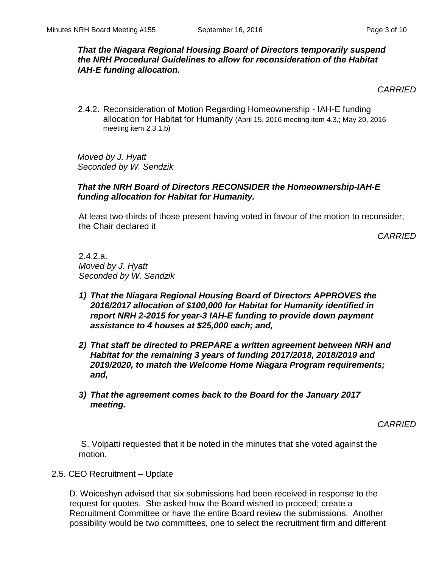#### *That the Niagara Regional Housing Board of Directors temporarily suspend the NRH Procedural Guidelines to allow for reconsideration of the Habitat IAH-E funding allocation.*

*CARRIED*

2.4.2. Reconsideration of Motion Regarding Homeownership - IAH-E funding allocation for Habitat for Humanity (April 15, 2016 meeting item 4.3.; May 20, 2016 meeting item 2.3.1.b)

*Moved by J. Hyatt Seconded by W. Sendzik*

#### *That the NRH Board of Directors RECONSIDER the Homeownership-IAH-E funding allocation for Habitat for Humanity.*

At least two-thirds of those present having voted in favour of the motion to reconsider; the Chair declared it

*CARRIED*

2.4.2.a. *Moved by J. Hyatt Seconded by W. Sendzik*

- *1) That the Niagara Regional Housing Board of Directors APPROVES the 2016/2017 allocation of \$100,000 for Habitat for Humanity identified in report NRH 2-2015 for year-3 IAH-E funding to provide down payment assistance to 4 houses at \$25,000 each; and,*
- *2) That staff be directed to PREPARE a written agreement between NRH and Habitat for the remaining 3 years of funding 2017/2018, 2018/2019 and 2019/2020, to match the Welcome Home Niagara Program requirements; and,*
- *3) That the agreement comes back to the Board for the January 2017 meeting.*

*CARRIED*

S. Volpatti requested that it be noted in the minutes that she voted against the motion.

2.5. CEO Recruitment – Update

D. Woiceshyn advised that six submissions had been received in response to the request for quotes. She asked how the Board wished to proceed; create a Recruitment Committee or have the entire Board review the submissions. Another possibility would be two committees, one to select the recruitment firm and different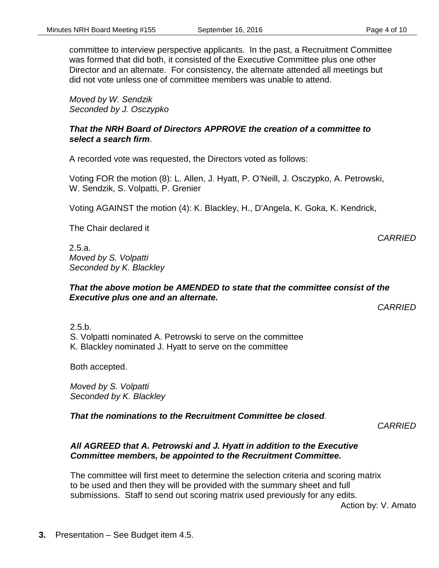committee to interview perspective applicants. In the past, a Recruitment Committee was formed that did both, it consisted of the Executive Committee plus one other Director and an alternate. For consistency, the alternate attended all meetings but did not vote unless one of committee members was unable to attend.

*Moved by W. Sendzik Seconded by J. Osczypko*

#### *That the NRH Board of Directors APPROVE the creation of a committee to select a search firm*.

A recorded vote was requested, the Directors voted as follows:

Voting FOR the motion (8): L. Allen, J. Hyatt, P. O'Neill, J. Osczypko, A. Petrowski, W. Sendzik, S. Volpatti, P. Grenier

Voting AGAINST the motion (4): K. Blackley, H., D'Angela, K. Goka, K. Kendrick,

The Chair declared it

2.5.a. *Moved by S. Volpatti Seconded by K. Blackley*

#### *That the above motion be AMENDED to state that the committee consist of the Executive plus one and an alternate.*

*CARRIED*

*CARRIED*

 $2.5.b.$ S. Volpatti nominated A. Petrowski to serve on the committee K. Blackley nominated J. Hyatt to serve on the committee

Both accepted.

*Moved by S. Volpatti Seconded by K. Blackley*

*That the nominations to the Recruitment Committee be closed.*

*CARRIED*

#### *All AGREED that A. Petrowski and J. Hyatt in addition to the Executive Committee members, be appointed to the Recruitment Committee.*

The committee will first meet to determine the selection criteria and scoring matrix to be used and then they will be provided with the summary sheet and full submissions. Staff to send out scoring matrix used previously for any edits.

Action by: V. Amato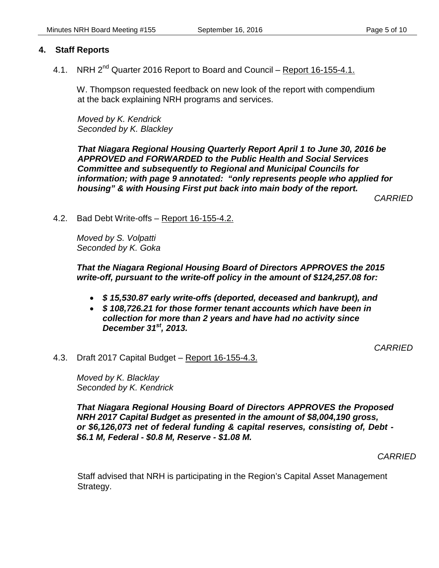#### **4. Staff Reports**

4.1. NRH 2<sup>nd</sup> Quarter 2016 Report to Board and Council – Report 16-155-4.1.

W. Thompson requested feedback on new look of the report with compendium at the back explaining NRH programs and services.

*Moved by K. Kendrick Seconded by K. Blackley*

*That Niagara Regional Housing Quarterly Report April 1 to June 30, 2016 be APPROVED and FORWARDED to the Public Health and Social Services Committee and subsequently to Regional and Municipal Councils for information; with page 9 annotated: "only represents people who applied for housing" & with Housing First put back into main body of the report.*

*CARRIED*

4.2. Bad Debt Write-offs – Report 16-155-4.2.

*Moved by S. Volpatti Seconded by K. Goka*

#### *That the Niagara Regional Housing Board of Directors APPROVES the 2015 write-off, pursuant to the write-off policy in the amount of \$124,257.08 for:*

- *\$ 15,530.87 early write-offs (deported, deceased and bankrupt), and*
- *\$ 108,726.21 for those former tenant accounts which have been in collection for more than 2 years and have had no activity since December 31st, 2013.*

*CARRIED*

#### 4.3. Draft 2017 Capital Budget – Report 16-155-4.3.

*Moved by K. Blacklay Seconded by K. Kendrick*

*That Niagara Regional Housing Board of Directors APPROVES the Proposed NRH 2017 Capital Budget as presented in the amount of \$8,004,190 gross, or \$6,126,073 net of federal funding & capital reserves, consisting of, Debt - \$6.1 M, Federal - \$0.8 M, Reserve - \$1.08 M.*

*CARRIED*

Staff advised that NRH is participating in the Region's Capital Asset Management Strategy.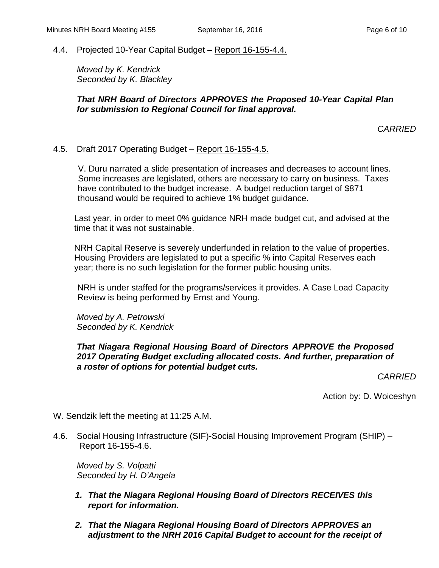4.4. Projected 10-Year Capital Budget – Report 16-155-4.4.

*Moved by K. Kendrick Seconded by K. Blackley*

#### *That NRH Board of Directors APPROVES the Proposed 10-Year Capital Plan for submission to Regional Council for final approval.*

*CARRIED*

#### 4.5. Draft 2017 Operating Budget – Report 16-155-4.5.

V. Duru narrated a slide presentation of increases and decreases to account lines. Some increases are legislated, others are necessary to carry on business. Taxes have contributed to the budget increase. A budget reduction target of \$871 thousand would be required to achieve 1% budget guidance.

Last year, in order to meet 0% guidance NRH made budget cut, and advised at the time that it was not sustainable.

NRH Capital Reserve is severely underfunded in relation to the value of properties. Housing Providers are legislated to put a specific % into Capital Reserves each year; there is no such legislation for the former public housing units.

NRH is under staffed for the programs/services it provides. A Case Load Capacity Review is being performed by Ernst and Young.

*Moved by A. Petrowski Seconded by K. Kendrick*

### *That Niagara Regional Housing Board of Directors APPROVE the Proposed 2017 Operating Budget excluding allocated costs. And further, preparation of a roster of options for potential budget cuts.*

*CARRIED*

Action by: D. Woiceshyn

W. Sendzik left the meeting at 11:25 A.M.

4.6. Social Housing Infrastructure (SIF)-Social Housing Improvement Program (SHIP) – Report 16-155-4.6.

*Moved by S. Volpatti Seconded by H. D'Angela*

- *1. That the Niagara Regional Housing Board of Directors RECEIVES this report for information.*
- *2. That the Niagara Regional Housing Board of Directors APPROVES an adjustment to the NRH 2016 Capital Budget to account for the receipt of*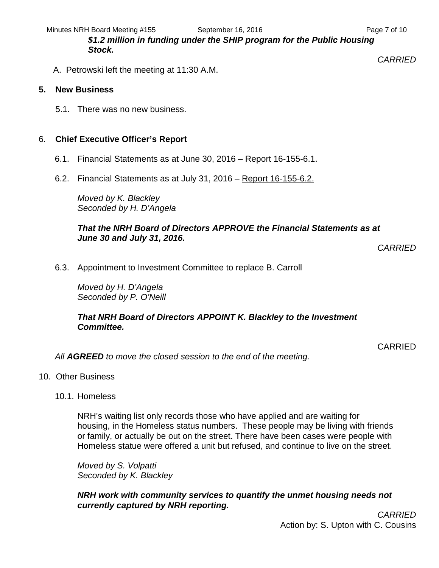*CARRIED*

*\$1.2 million in funding under the SHIP program for the Public Housing Stock.* 

A. Petrowski left the meeting at 11:30 A.M.

#### **5. New Business**

5.1. There was no new business.

## 6. **Chief Executive Officer's Report**

- 6.1. Financial Statements as at June 30, 2016 Report 16-155-6.1.
- 6.2. Financial Statements as at July 31, 2016 Report 16-155-6.2.

*Moved by K. Blackley Seconded by H. D'Angela*

#### *That the NRH Board of Directors APPROVE the Financial Statements as at June 30 and July 31, 2016.*

*CARRIED*

6.3. Appointment to Investment Committee to replace B. Carroll

*Moved by H. D'Angela Seconded by P. O'Neill*

### *That NRH Board of Directors APPOINT K. Blackley to the Investment Committee.*

CARRIED

*All AGREED to move the closed session to the end of the meeting.*

- 10. Other Business
	- 10.1. Homeless

NRH's waiting list only records those who have applied and are waiting for housing, in the Homeless status numbers. These people may be living with friends or family, or actually be out on the street. There have been cases were people with Homeless statue were offered a unit but refused, and continue to live on the street.

*Moved by S. Volpatti Seconded by K. Blackley*

*NRH work with community services to quantify the unmet housing needs not currently captured by NRH reporting.*

> *CARRIED* Action by: S. Upton with C. Cousins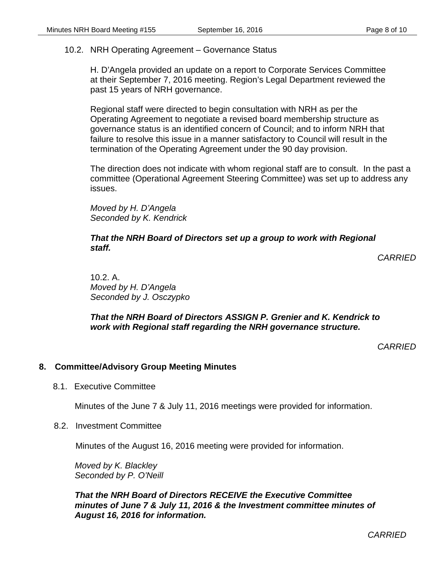#### 10.2. NRH Operating Agreement – Governance Status

H. D'Angela provided an update on a report to Corporate Services Committee at their September 7, 2016 meeting. Region's Legal Department reviewed the past 15 years of NRH governance.

Regional staff were directed to begin consultation with NRH as per the Operating Agreement to negotiate a revised board membership structure as governance status is an identified concern of Council; and to inform NRH that failure to resolve this issue in a manner satisfactory to Council will result in the termination of the Operating Agreement under the 90 day provision.

The direction does not indicate with whom regional staff are to consult. In the past a committee (Operational Agreement Steering Committee) was set up to address any issues.

*Moved by H. D'Angela Seconded by K. Kendrick*

*That the NRH Board of Directors set up a group to work with Regional staff.*

*CARRIED*

10.2. A. *Moved by H. D'Angela Seconded by J. Osczypko* 

*That the NRH Board of Directors ASSIGN P. Grenier and K. Kendrick to work with Regional staff regarding the NRH governance structure.*

*CARRIED*

#### **8. Committee/Advisory Group Meeting Minutes**

8.1. Executive Committee

Minutes of the June 7 & July 11, 2016 meetings were provided for information.

8.2. Investment Committee

Minutes of the August 16, 2016 meeting were provided for information.

*Moved by K. Blackley Seconded by P. O'Neill*

*That the NRH Board of Directors RECEIVE the Executive Committee minutes of June 7 & July 11, 2016 & the Investment committee minutes of August 16, 2016 for information.*

*CARRIED*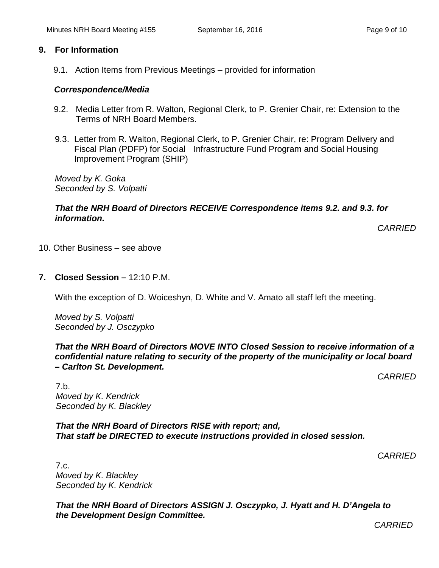### **9. For Information**

9.1. Action Items from Previous Meetings – provided for information

#### *Correspondence/Media*

- 9.2. Media Letter from R. Walton, Regional Clerk, to P. Grenier Chair, re: Extension to the Terms of NRH Board Members.
- 9.3. Letter from R. Walton, Regional Clerk, to P. Grenier Chair, re: Program Delivery and Fiscal Plan (PDFP) for Social Infrastructure Fund Program and Social Housing Improvement Program (SHIP)

*Moved by K. Goka Seconded by S. Volpatti*

#### *That the NRH Board of Directors RECEIVE Correspondence items 9.2. and 9.3. for information.*

*CARRIED*

- 10. Other Business see above
- **7. Closed Session –** 12:10 P.M.

With the exception of D. Woiceshyn, D. White and V. Amato all staff left the meeting.

*Moved by S. Volpatti Seconded by J. Osczypko*

#### *That the NRH Board of Directors MOVE INTO Closed Session to receive information of a confidential nature relating to security of the property of the municipality or local board – Carlton St. Development.*

*CARRIED*

7.b. *Moved by K. Kendrick Seconded by K. Blackley*

*That the NRH Board of Directors RISE with report; and, That staff be DIRECTED to execute instructions provided in closed session.*

*CARRIED*

7.c. *Moved by K. Blackley Seconded by K. Kendrick*

*That the NRH Board of Directors ASSIGN J. Osczypko, J. Hyatt and H. D'Angela to the Development Design Committee.*

*CARRIED*